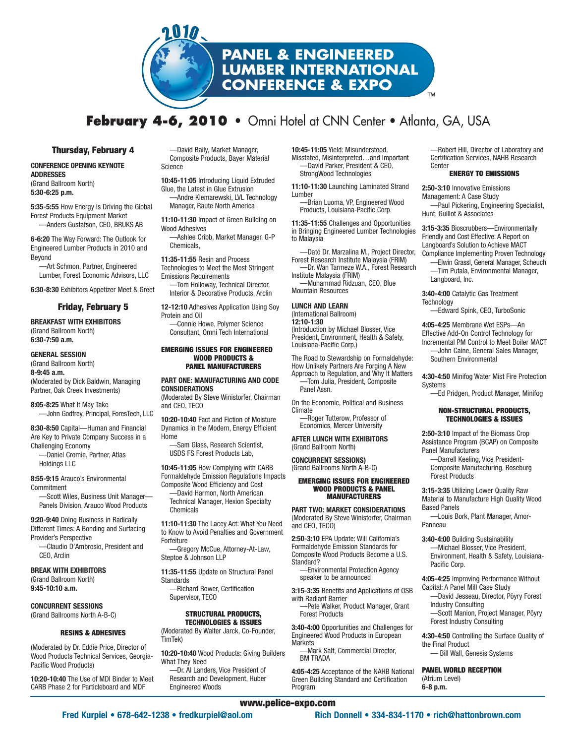

# **February 4-6, 2010 •** Omni Hotel at CNN Center • Atlanta, GA, USA

## **Thursday, February 4**

#### **CONFERENCE OPENING KEYNOTE ADDRESSES** (Grand Ballroom North)

**5:30-6:25 p.m.**

**5:35-5:55** How Energy Is Driving the Global Forest Products Equipment Market —Anders Gustafson, CEO, BRUKS AB

**6-6:20** The Way Forward: The Outlook for Engineered Lumber Products in 2010 and Beyond

—Art Schmon, Partner, Engineered Lumber, Forest Economic Advisors, LLC

**6:30-8:30** Exhibitors Appetizer Meet & Greet

## **Friday, February 5**

**BREAKFAST WITH EXHIBITORS** (Grand Ballroom North) **6:30-7:50 a.m.**

#### **GENERAL SESSION**

(Grand Ballroom North) **8-9:45 a.m.** (Moderated by Dick Baldwin, Managing Partner, Oak Creek Investments)

**8:05-8:25** What It May Take —John Godfrey, Principal, ForesTech, LLC

**8:30-8:50** Capital—Human and Financial Are Key to Private Company Success in a Challenging Economy —Daniel Cromie, Partner, Atlas

Holdings LLC

**8:55-9:15** Arauco's Environmental Commitment —Scott Wiles, Business Unit Manager—

Panels Division, Arauco Wood Products **9:20-9:40** Doing Business in Radically

Different Times: A Bonding and Surfacing Provider's Perspective

—Claudio D'Ambrosio, President and CEO, Arclin

## **BREAK WITH EXHIBITORS** (Grand Ballroom North)

**9:45-10:10 a.m.**

**CONCURRENT SESSIONS** (Grand Ballrooms North A-B-C)

#### **RESINS & ADHESIVES**

(Moderated by Dr. Eddie Price, Director of Wood Products Technical Services, Georgia-Pacific Wood Products)

**10:20-10:40** The Use of MDI Binder to Meet CARB Phase 2 for Particleboard and MDF

—David Baily, Market Manager, Composite Products, Bayer Material Science

**10:45-11:05** Introducing Liquid Extruded Glue, the Latest in Glue Extrusion —Andre Klemarewski, LVL Technology Manager, Raute North America

**11:10-11:30** Impact of Green Building on Wood Adhesives

—Ashlee Cribb, Market Manager, G-P Chemicals,

**11:35-11:55** Resin and Process Technologies to Meet the Most Stringent Emissions Requirements

—Tom Holloway, Technical Director, Interior & Decorative Products, Arclin

**12-12:10** Adhesives Application Using Soy Protein and Oil —Connie Howe, Polymer Science Consultant, Omni Tech International

## **EMERGING ISSUES FOR ENGINEERED WOOD PRODUCTS & PANEL MANUFACTURERS**

#### **PART ONE: MANUFACTURING AND CODE CONSIDERATIONS**

(Moderated By Steve Winistorfer, Chairman and CEO, TECO

**10:20-10:40** Fact and Fiction of Moisture Dynamics in the Modern, Energy Efficient Home

—Sam Glass, Research Scientist, USDS FS Forest Products Lab,

**10:45-11:05** How Complying with CARB Formaldehyde Emission Regulations Impacts

Composite Wood Efficiency and Cost —David Harmon, North American Technical Manager, Hexion Specialty Chemicals

**11:10-11:30** The Lacey Act: What You Need to Know to Avoid Penalties and Government Forfeiture

—Gregory McCue, Attorney-At-Law, Steptoe & Johnson LLP

**11:35-11:55** Update on Structural Panel **Standards** 

—Richard Bower, Certification Supervisor, TECO

#### **STRUCTURAL PRODUCTS, TECHNOLOGIES & ISSUES**

(Moderated By Walter Jarck, Co-Founder, TimTek)

**10:20-10:40** Wood Products: Giving Builders What They Need —Dr. Al Landers, Vice President of

Research and Development, Huber Engineered Woods

**10:45-11:05** Yield: Misunderstood, Misstated, Misinterpreted…and Important —David Parker, President & CEO, StrongWood Technologies

**11:10-11:30** Launching Laminated Strand **Lumber** 

-Brian Luoma, VP, Engineered Wood Products, Louisiana-Pacific Corp.

**11:35-11:55** Challenges and Opportunities in Bringing Engineered Lumber Technologies to Malaysia

—Dató Dr. Marzalina M., Project Director, Forest Research Institute Malaysia (FRIM) —Dr. Wan Tarmeze W.A., Forest Research

Institute Malaysia (FRIM)

—Muhammad Ridzuan, CEO, Blue Mountain Resources

## **LUNCH AND LEARN**

(International Ballroom) **12:10-1:30** (Introduction by Michael Blosser, Vice President, Environment, Health & Safety, Louisiana-Pacific Corp.)

The Road to Stewardship on Formaldehyde: How Unlikely Partners Are Forging A New Approach to Regulation, and Why It Matters

—Tom Julia, President, Composite Panel Assn.

On the Economic, Political and Business Climate

—Roger Tutterow, Professor of Economics, Mercer University

**AFTER LUNCH WITH EXHIBITORS** (Grand Ballroom North)

#### **CONCURRENT SESSIONS)** (Grand Ballrooms North A-B-C)

#### **EMERGING ISSUES FOR ENGINEERED WOOD PRODUCTS & PANEL MANUFACTURERS**

**PART TWO: MARKET CONSIDERATIONS** (Moderated By Steve Winistorfer, Chairman and CEO, TECO)

**2:50-3:10** EPA Update: Will California's Formaldehyde Emission Standards for Composite Wood Products Become a U.S. Standard?

—Environmental Protection Agency speaker to be announced

**3:15-3:35** Benefits and Applications of OSB with Radiant Barrier

—Pete Walker, Product Manager, Grant Forest Products

**3:40-4:00** Opportunities and Challenges for Engineered Wood Products in European **Markets** 

—Mark Salt, Commercial Director, BM TRADA

**4:05-4:25** Acceptance of the NAHB National Green Building Standard and Certification Program

—Robert Hill, Director of Laboratory and Certification Services, NAHB Research **Center** 

## **ENERGY TO EMISSIONS**

**2:50-3:10** Innovative Emissions Management: A Case Study —Paul Pickering, Engineering Specialist, Hunt, Guillot & Associates

**3:15-3:35** Bioscrubbers—Environmentally Friendly and Cost Effective: A Report on Langboard's Solution to Achieve MACT Compliance Implementing Proven Technology

—Elwin Grassl, General Manager, Scheuch —Tim Putala, Environmental Manager, Langboard, Inc.

**3:40-4:00** Catalytic Gas Treatment **Technology** 

—Edward Spink, CEO, TurboSonic

**4:05-4:25** Membrane Wet ESPs—An Effective Add-On Control Technology for Incremental PM Control to Meet Boiler MACT —John Caine, General Sales Manager, Southern Environmental

**4:30-4:50** Minifog Water Mist Fire Protection Systems

—Ed Pridgen, Product Manager, Minifog

## **NON-STRUCTURAL PRODUCTS, TECHNOLOGIES & ISSUES**

**2:50-3:10** Impact of the Biomass Crop Assistance Program (BCAP) on Composite Panel Manufacturers

—Darrell Keeling, Vice President-Composite Manufacturing, Roseburg Forest Products

**3:15-3:35** Utilizing Lower Quality Raw Material to Manufacture High Quality Wood Based Panels

—Louis Bork, Plant Manager, Amor-Panneau

## **3:40-4:00** Building Sustainability

—Michael Blosser, Vice President, Environment, Health & Safety, Louisiana-Pacific Corp.

**4:05-4:25** Improving Performance Without Capital: A Panel Mill Case Study

- —David Jesseau, Director, Pöyry Forest Industry Consulting
- —Scott Manion, Project Manager, Pöyry Forest Industry Consulting

**4:30-4:50** Controlling the Surface Quality of the Final Product

— Bill Wall, Genesis Systems

**PANEL WORLD RECEPTION** (Atrium Level) **6-8 p.m.**

# **www.pelice-expo.com**

**Fred Kurpiel • 678-642-1238 • fredkurpiel@aol.om Rich Donnell • 334-834-1170 • rich@hattonbrown.com**